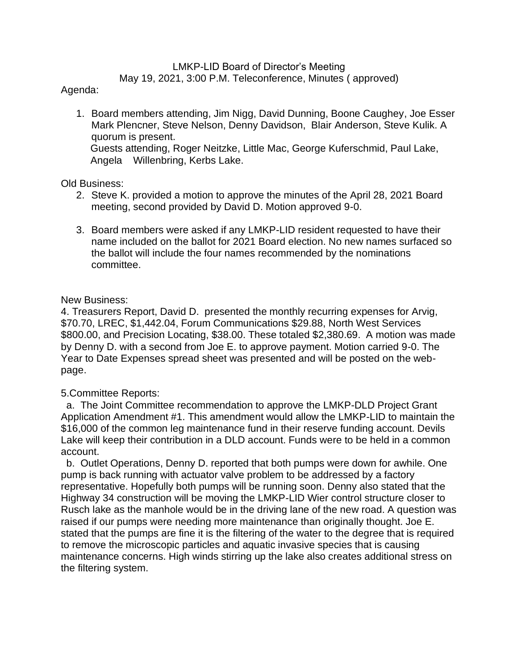### LMKP-LID Board of Director's Meeting

May 19, 2021, 3:00 P.M. Teleconference, Minutes ( approved)

# Agenda:

1. Board members attending, Jim Nigg, David Dunning, Boone Caughey, Joe Esser Mark Plencner, Steve Nelson, Denny Davidson, Blair Anderson, Steve Kulik. A quorum is present. Guests attending, Roger Neitzke, Little Mac, George Kuferschmid, Paul Lake, Angela Willenbring, Kerbs Lake.

## Old Business:

- 2. Steve K. provided a motion to approve the minutes of the April 28, 2021 Board meeting, second provided by David D. Motion approved 9-0.
- 3. Board members were asked if any LMKP-LID resident requested to have their name included on the ballot for 2021 Board election. No new names surfaced so the ballot will include the four names recommended by the nominations committee.

# New Business:

4. Treasurers Report, David D. presented the monthly recurring expenses for Arvig, \$70.70, LREC, \$1,442.04, Forum Communications \$29.88, North West Services \$800.00, and Precision Locating, \$38.00. These totaled \$2,380.69. A motion was made by Denny D. with a second from Joe E. to approve payment. Motion carried 9-0. The Year to Date Expenses spread sheet was presented and will be posted on the webpage.

## 5.Committee Reports:

 a. The Joint Committee recommendation to approve the LMKP-DLD Project Grant Application Amendment #1. This amendment would allow the LMKP-LID to maintain the \$16,000 of the common leg maintenance fund in their reserve funding account. Devils Lake will keep their contribution in a DLD account. Funds were to be held in a common account.

 b. Outlet Operations, Denny D. reported that both pumps were down for awhile. One pump is back running with actuator valve problem to be addressed by a factory representative. Hopefully both pumps will be running soon. Denny also stated that the Highway 34 construction will be moving the LMKP-LID Wier control structure closer to Rusch lake as the manhole would be in the driving lane of the new road. A question was raised if our pumps were needing more maintenance than originally thought. Joe E. stated that the pumps are fine it is the filtering of the water to the degree that is required to remove the microscopic particles and aquatic invasive species that is causing maintenance concerns. High winds stirring up the lake also creates additional stress on the filtering system.